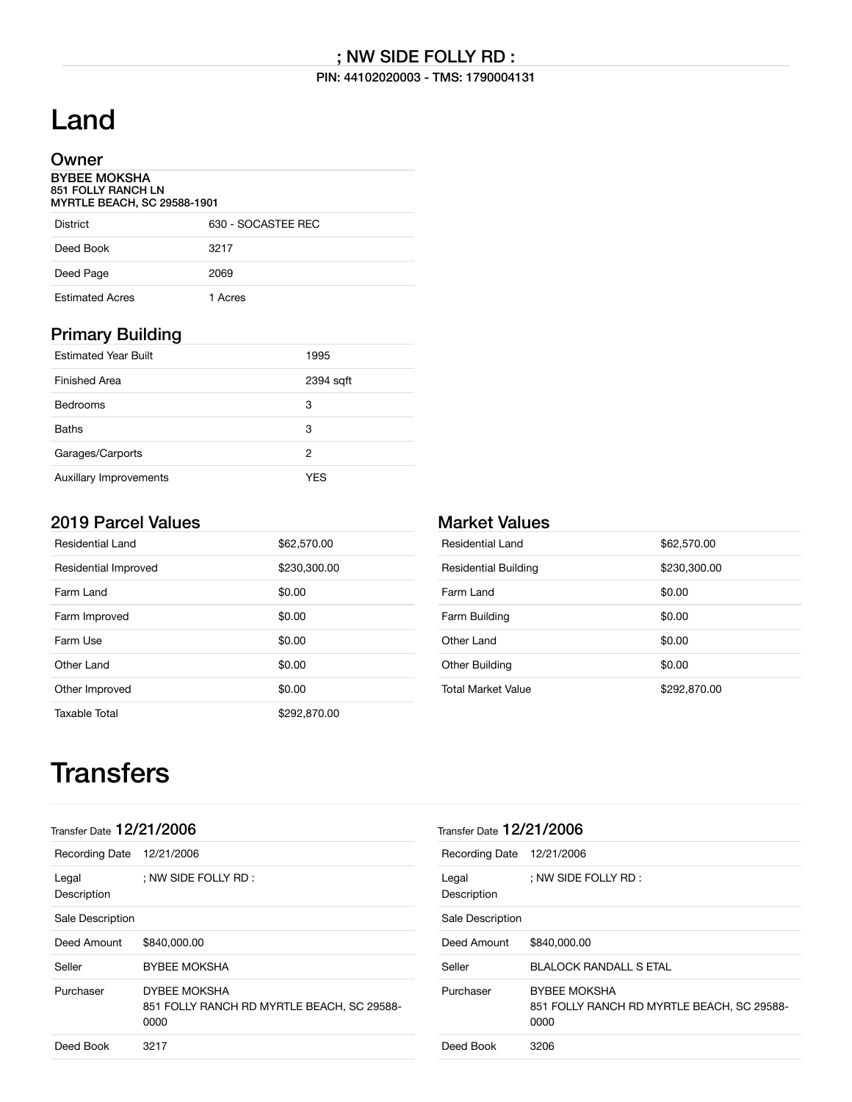#### PIN: 44102020003 - TMS: 1790004131

# Land

### Owner

BYBEE MOKSHA 851 FOLLY RANCH LN MYRTLE BEACH, SC 29588-1901

| <b>District</b>        | 630 - SOCASTEE REC |
|------------------------|--------------------|
| Deed Book              | 3217               |
| Deed Page              | 2069               |
| <b>Estimated Acres</b> | 1 Acres            |

### Primary Building

| <b>Estimated Year Built</b> | 1995      |
|-----------------------------|-----------|
| Finished Area               | 2394 sqft |
| <b>Bedrooms</b>             | 3         |
| <b>Baths</b>                | 3         |
| Garages/Carports            | 2         |
| Auxillary Improvements      | YFS       |

## 2019 Parcel Values

| Residential Land     | \$62,570.00  |
|----------------------|--------------|
| Residential Improved | \$230,300.00 |
| Farm Land            | \$0.00       |
| Farm Improved        | \$0.00       |
| Farm Use             | \$0.00       |
| Other Land           | \$0.00       |
| Other Improved       | \$0.00       |
| Taxable Total        | \$292,870,00 |

## Market Values

| Residential Land            | \$62,570.00  |
|-----------------------------|--------------|
| <b>Residential Building</b> | \$230,300.00 |
| Farm Land                   | \$0.00       |
| Farm Building               | \$0.00       |
| Other Land                  | \$0.00       |
| Other Building              | \$0.00       |
| <b>Total Market Value</b>   | \$292,870.00 |

# **Transfers**

| Transfer Date $12/21/2006$ |                                                                           | Transfer Date 12/21/2006 |                                                                           |
|----------------------------|---------------------------------------------------------------------------|--------------------------|---------------------------------------------------------------------------|
| <b>Recording Date</b>      | 12/21/2006                                                                | <b>Recording Date</b>    | 12/21/2006                                                                |
| Legal<br>Description       | ; NW SIDE FOLLY RD :                                                      | Legal<br>Description     | ; NW SIDE FOLLY RD :                                                      |
| Sale Description           |                                                                           | Sale Description         |                                                                           |
| Deed Amount                | \$840,000,00                                                              | Deed Amount              | \$840,000,00                                                              |
| Seller                     | <b>BYBEE MOKSHA</b>                                                       | Seller                   | <b>BLALOCK RANDALL S ETAL</b>                                             |
| Purchaser                  | <b>DYBEE MOKSHA</b><br>851 FOLLY RANCH RD MYRTLE BEACH, SC 29588-<br>0000 | Purchaser                | <b>BYBEE MOKSHA</b><br>851 FOLLY RANCH RD MYRTLE BEACH, SC 29588-<br>0000 |
| Deed Book                  | 3217                                                                      | Deed Book                | 3206                                                                      |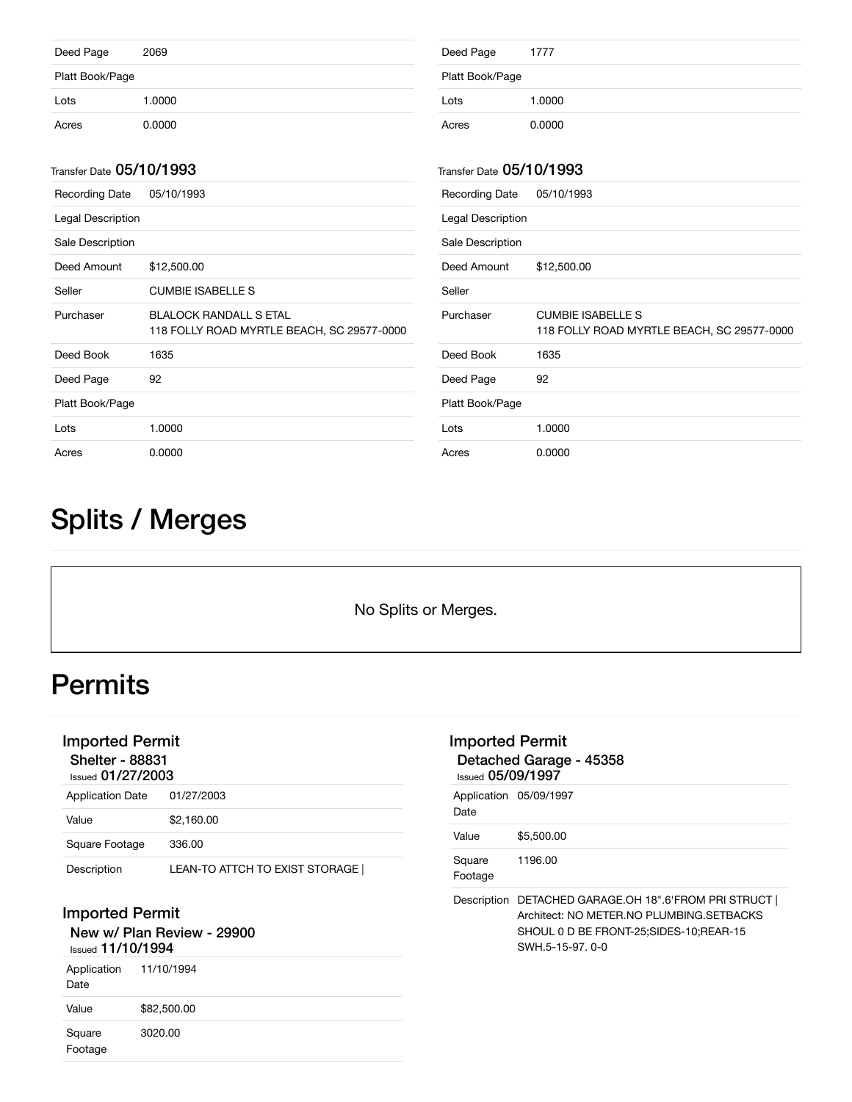| Deed Page                | 2069   | Deed Page                | 1777   |
|--------------------------|--------|--------------------------|--------|
| Platt Book/Page          |        | Platt Book/Page          |        |
| Lots                     | 1.0000 | Lots                     | 1.0000 |
| Acres                    | 0.0000 | Acres                    | 0.0000 |
|                          |        |                          |        |
| Transfer Date 05/10/1993 |        | Transfer Date 05/10/1993 |        |

| <b>Recording Date</b> | 05/10/1993                                                                  | <b>Recording Date</b> | 05/10/1993                            |
|-----------------------|-----------------------------------------------------------------------------|-----------------------|---------------------------------------|
| Legal Description     |                                                                             | Legal Description     |                                       |
| Sale Description      |                                                                             | Sale Description      |                                       |
| Deed Amount           | \$12,500.00                                                                 | Deed Amount           | \$12,500.00                           |
| Seller                | <b>CUMBIE ISABELLE S</b>                                                    | Seller                |                                       |
| Purchaser             | <b>BLALOCK RANDALL S ETAL</b><br>118 FOLLY ROAD MYRTLE BEACH, SC 29577-0000 | Purchaser             | <b>CUMBIE ISABEL</b><br>118 FOLLY ROA |
| Deed Book             | 1635                                                                        | Deed Book             | 1635                                  |
| Deed Page             | 92                                                                          | Deed Page             | 92                                    |
| Platt Book/Page       |                                                                             | Platt Book/Page       |                                       |
| Lots                  | 1.0000                                                                      | Lots                  | 1.0000                                |
| Acres                 | 0.0000                                                                      | Acres                 | 0.0000                                |

# LLE S 1D MYRTLE BEACH, SC 29577-0000

# Splits / Merges

No Splits or Merges.

# **Permits**

## Imported Permit

Shelter - 88831

| <b>Issued 01/27/2003</b> |                                |  |  |
|--------------------------|--------------------------------|--|--|
| <b>Application Date</b>  | 01/27/2003                     |  |  |
| Value                    | \$2.160.00                     |  |  |
| Square Footage           | 336.00                         |  |  |
| Description              | LEAN-TO ATTCH TO EXIST STORAGE |  |  |

### Imported Permit

New w/ Plan Review - 29900

### Issued 11/10/1994

| Application<br>Date | 11/10/1994  |
|---------------------|-------------|
| Value               | \$82,500.00 |
| Square<br>Footage   | 3020.00     |

| Imported Permit<br>Detached Garage - 45358<br>$_{\text{Issued}}$ 05/09/1997 |                                                                                                                                                     |  |  |
|-----------------------------------------------------------------------------|-----------------------------------------------------------------------------------------------------------------------------------------------------|--|--|
| Application 05/09/1997<br>Date                                              |                                                                                                                                                     |  |  |
| Value                                                                       | \$5,500.00                                                                                                                                          |  |  |
| Square<br>Footage                                                           | 1196.00                                                                                                                                             |  |  |
| Description                                                                 | DETACHED GARAGE.OH 18".6'FROM PRI STRUCT<br>Architect: NO METER.NO PLUMBING.SETBACKS<br>SHOUL 0 D BE FRONT-25; SIDES-10; REAR-15<br>SWH 5-15-97 0-0 |  |  |